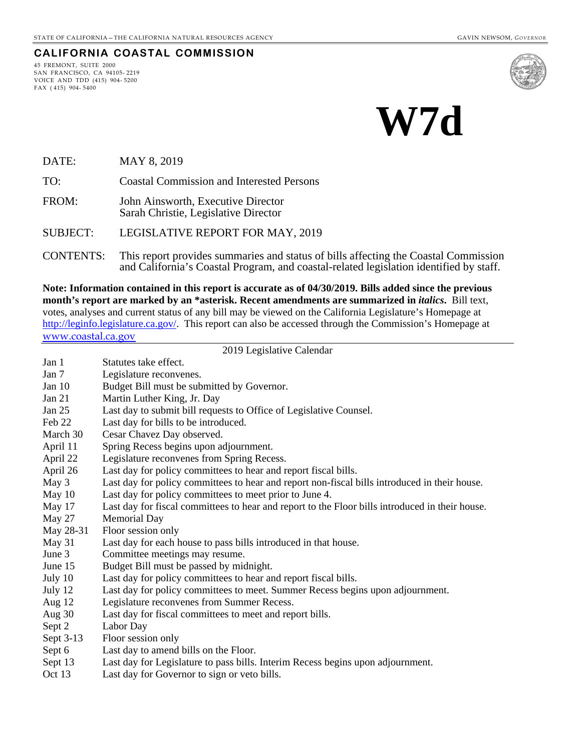#### **CALIFORNIA COASTAL COMMISSION**

45 FREMONT, SUITE 2000 SAN FRANCISCO, CA 94105- 2219 VOICE AND TDD (415) 904- 5200 FAX ( 415) 904- 5400



# **W7d**

DATE: MAY 8, 2019

TO: Coastal Commission and Interested Persons

FROM: John Ainsworth, Executive Director Sarah Christie, Legislative Director

SUBJECT: LEGISLATIVE REPORT FOR MAY, 2019

CONTENTS: This report provides summaries and status of bills affecting the Coastal Commission and California's Coastal Program, and coastal-related legislation identified by staff.

**Note: Information contained in this report is accurate as of 04/30/2019. Bills added since the previous month's report are marked by an \*asterisk. Recent amendments are summarized in** *italics***.** Bill text, votes, analyses and current status of any bill may be viewed on the California Legislature's Homepage at [http://leginfo.legislature.ca.gov/.](http://leginfo.legislature.ca.gov/) This report can also be accessed through the Commission's Homepage at [www.coastal.ca.gov](http://www.coastal.ca.gov/)

#### 2019 Legislative Calendar

| Jan 1     | Statutes take effect.                                                                           |
|-----------|-------------------------------------------------------------------------------------------------|
| Jan 7     | Legislature reconvenes.                                                                         |
| Jan 10    | Budget Bill must be submitted by Governor.                                                      |
| Jan 21    | Martin Luther King, Jr. Day                                                                     |
| Jan 25    | Last day to submit bill requests to Office of Legislative Counsel.                              |
| Feb 22    | Last day for bills to be introduced.                                                            |
| March 30  | Cesar Chavez Day observed.                                                                      |
| April 11  | Spring Recess begins upon adjournment.                                                          |
| April 22  | Legislature reconvenes from Spring Recess.                                                      |
| April 26  | Last day for policy committees to hear and report fiscal bills.                                 |
| May 3     | Last day for policy committees to hear and report non-fiscal bills introduced in their house.   |
| May 10    | Last day for policy committees to meet prior to June 4.                                         |
| May 17    | Last day for fiscal committees to hear and report to the Floor bills introduced in their house. |
| May 27    | <b>Memorial Day</b>                                                                             |
| May 28-31 | Floor session only                                                                              |
| May 31    | Last day for each house to pass bills introduced in that house.                                 |
| June 3    | Committee meetings may resume.                                                                  |
| June 15   | Budget Bill must be passed by midnight.                                                         |
| July 10   | Last day for policy committees to hear and report fiscal bills.                                 |
| July 12   | Last day for policy committees to meet. Summer Recess begins upon adjournment.                  |
| Aug 12    | Legislature reconvenes from Summer Recess.                                                      |
| Aug 30    | Last day for fiscal committees to meet and report bills.                                        |
| Sept 2    | Labor Day                                                                                       |
| Sept 3-13 | Floor session only                                                                              |
| Sept 6    | Last day to amend bills on the Floor.                                                           |
| Sept 13   | Last day for Legislature to pass bills. Interim Recess begins upon adjournment.                 |
| Oct $13$  | Last day for Governor to sign or veto bills.                                                    |
|           |                                                                                                 |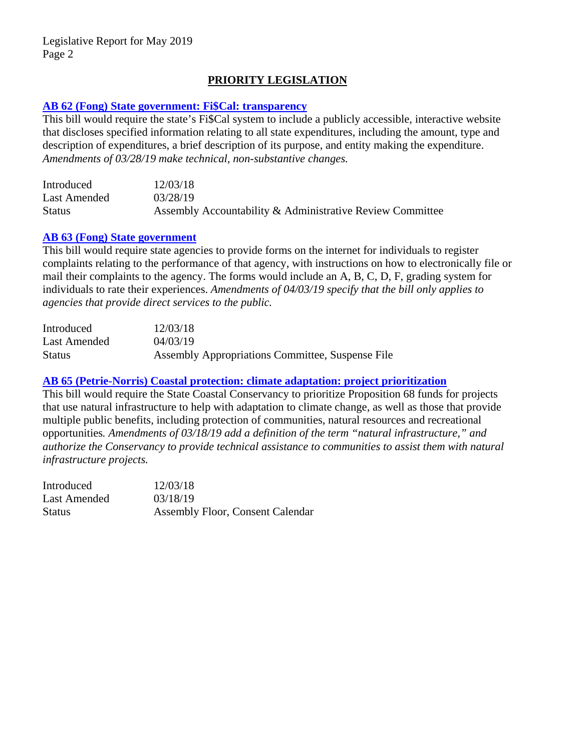# **PRIORITY LEGISLATION**

#### **[AB 62 \(Fong\) State government: Fi\\$Cal: transparency](http://leginfo.legislature.ca.gov/faces/billNavClient.xhtml?bill_id=201920200AB62)**

This bill would require the state's Fi\$Cal system to include a publicly accessible, interactive website that discloses specified information relating to all state expenditures, including the amount, type and description of expenditures, a brief description of its purpose, and entity making the expenditure. *Amendments of 03/28/19 make technical, non-substantive changes.*

| Introduced    | 12/03/18                                                  |
|---------------|-----------------------------------------------------------|
| Last Amended  | 03/28/19                                                  |
| <b>Status</b> | Assembly Accountability & Administrative Review Committee |

#### **[AB 63 \(Fong\) State government](http://leginfo.legislature.ca.gov/faces/billNavClient.xhtml?bill_id=201920200AB63)**

This bill would require state agencies to provide forms on the internet for individuals to register complaints relating to the performance of that agency, with instructions on how to electronically file or mail their complaints to the agency. The forms would include an A, B, C, D, F, grading system for individuals to rate their experiences. *Amendments of 04/03/19 specify that the bill only applies to agencies that provide direct services to the public.*

| Introduced    | 12/03/18                                         |
|---------------|--------------------------------------------------|
| Last Amended  | 04/03/19                                         |
| <b>Status</b> | Assembly Appropriations Committee, Suspense File |

#### **AB 65 [\(Petrie-Norris\) Coastal protection: climate adaptation: project prioritization](http://leginfo.legislature.ca.gov/faces/billNavClient.xhtml?bill_id=201920200AB65)**

This bill would require the State Coastal Conservancy to prioritize Proposition 68 funds for projects that use natural infrastructure to help with adaptation to climate change, as well as those that provide multiple public benefits, including protection of communities, natural resources and recreational opportunities*. Amendments of 03/18/19 add a definition of the term "natural infrastructure," and authorize the Conservancy to provide technical assistance to communities to assist them with natural infrastructure projects.*

| Introduced    | 12/03/18                                |
|---------------|-----------------------------------------|
| Last Amended  | 03/18/19                                |
| <b>Status</b> | <b>Assembly Floor, Consent Calendar</b> |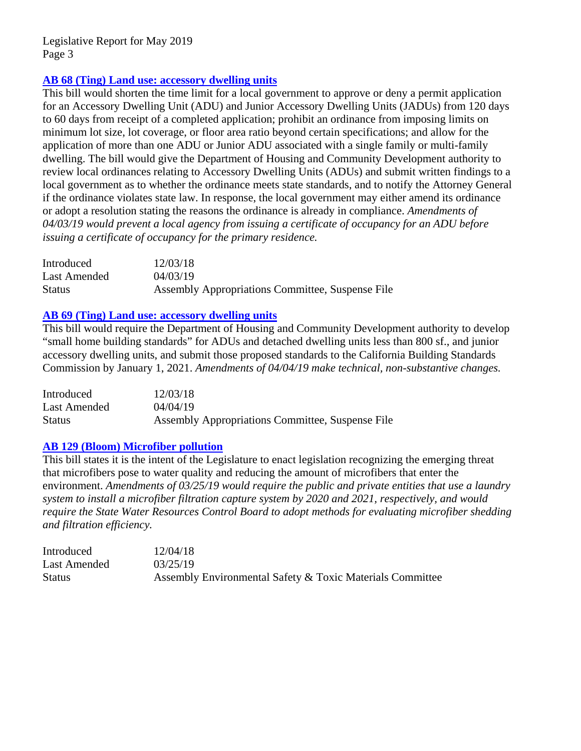## **[AB 68 \(Ting\) Land use: accessory dwelling units](http://leginfo.legislature.ca.gov/faces/billNavClient.xhtml?bill_id=201920200AB68)**

This bill would shorten the time limit for a local government to approve or deny a permit application for an Accessory Dwelling Unit (ADU) and Junior Accessory Dwelling Units (JADUs) from 120 days to 60 days from receipt of a completed application; prohibit an ordinance from imposing limits on minimum lot size, lot coverage, or floor area ratio beyond certain specifications; and allow for the application of more than one ADU or Junior ADU associated with a single family or multi-family dwelling. The bill would give the Department of Housing and Community Development authority to review local ordinances relating to Accessory Dwelling Units (ADUs) and submit written findings to a local government as to whether the ordinance meets state standards, and to notify the Attorney General if the ordinance violates state law. In response, the local government may either amend its ordinance or adopt a resolution stating the reasons the ordinance is already in compliance. *Amendments of 04/03/19 would prevent a local agency from issuing a certificate of occupancy for an ADU before issuing a certificate of occupancy for the primary residence.*

| Introduced   | 12/03/18                                         |
|--------------|--------------------------------------------------|
| Last Amended | 04/03/19                                         |
| Status       | Assembly Appropriations Committee, Suspense File |

# **[AB 69 \(Ting\) Land use: accessory dwelling units](http://leginfo.legislature.ca.gov/faces/billNavClient.xhtml?bill_id=201920200AB69)**

This bill would require the Department of Housing and Community Development authority to develop "small home building standards" for ADUs and detached dwelling units less than 800 sf., and junior accessory dwelling units, and submit those proposed standards to the California Building Standards Commission by January 1, 2021. *Amendments of 04/04/19 make technical, non-substantive changes.*

| Introduced   | 12/03/18                                         |
|--------------|--------------------------------------------------|
| Last Amended | 04/04/19                                         |
| Status       | Assembly Appropriations Committee, Suspense File |

#### **[AB 129 \(Bloom\) Microfiber pollution](http://leginfo.legislature.ca.gov/faces/billNavClient.xhtml?bill_id=201920200AB129)**

This bill states it is the intent of the Legislature to enact legislation recognizing the emerging threat that microfibers pose to water quality and reducing the amount of microfibers that enter the environment. *Amendments of 03/25/19 would require the public and private entities that use a laundry system to install a microfiber filtration capture system by 2020 and 2021, respectively, and would require the State Water Resources Control Board to adopt methods for evaluating microfiber shedding and filtration efficiency.*

| Introduced    | 12/04/18                                                  |
|---------------|-----------------------------------------------------------|
| Last Amended  | 03/25/19                                                  |
| <b>Status</b> | Assembly Environmental Safety & Toxic Materials Committee |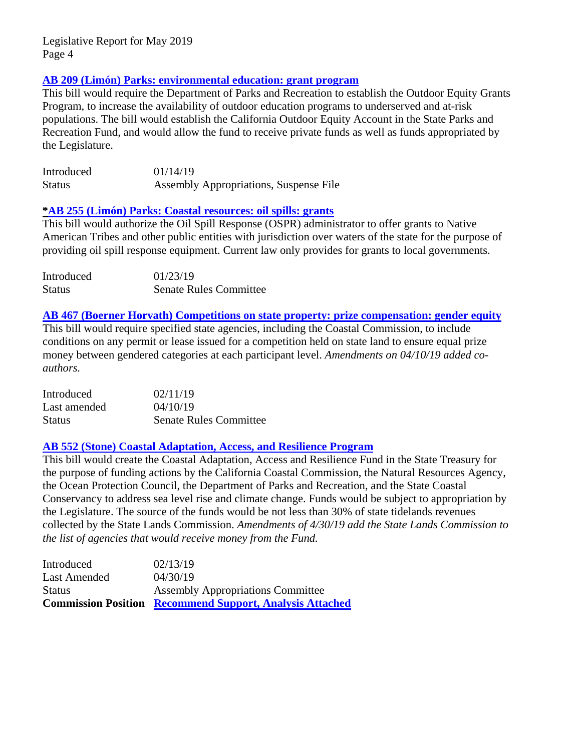# **AB 209 (Limón) [Parks: environmental education: grant program](http://leginfo.legislature.ca.gov/faces/billNavClient.xhtml?bill_id=201920200AB209)**

This bill would require the Department of Parks and Recreation to establish the Outdoor Equity Grants Program, to increase the availability of outdoor education programs to underserved and at-risk populations. The bill would establish the California Outdoor Equity Account in the State Parks and Recreation Fund, and would allow the fund to receive private funds as well as funds appropriated by the Legislature.

| Introduced    | 01/14/19                               |
|---------------|----------------------------------------|
| <b>Status</b> | Assembly Appropriations, Suspense File |

#### **[\\*AB 255 \(Limón\) Parks: Coastal resources: oil spills: grants](http://leginfo.legislature.ca.gov/faces/billNavClient.xhtml?bill_id=201920200AB255)**

This bill would authorize the Oil Spill Response (OSPR) administrator to offer grants to Native American Tribes and other public entities with jurisdiction over waters of the state for the purpose of providing oil spill response equipment. Current law only provides for grants to local governments.

| Introduced    | 01/23/19                      |
|---------------|-------------------------------|
| <b>Status</b> | <b>Senate Rules Committee</b> |

# **AB 467 (Boerner [Horvath\) Competitions on state property: prize compensation: gender equity](http://leginfo.legislature.ca.gov/faces/billNavClient.xhtml?bill_id=201920200AB467)**

This bill would require specified state agencies, including the Coastal Commission, to include conditions on any permit or lease issued for a competition held on state land to ensure equal prize money between gendered categories at each participant level. *Amendments on 04/10/19 added coauthors.*

| Introduced    | 02/11/19                      |
|---------------|-------------------------------|
| Last amended  | 04/10/19                      |
| <b>Status</b> | <b>Senate Rules Committee</b> |

# **AB 552 (Stone) Coastal Adaptation, Access, [and Resilience Program](http://leginfo.legislature.ca.gov/faces/billNavClient.xhtml?bill_id=201920200AB552)**

This bill would create the Coastal Adaptation, Access and Resilience Fund in the State Treasury for the purpose of funding actions by the California Coastal Commission, the Natural Resources Agency, the Ocean Protection Council, the Department of Parks and Recreation, and the State Coastal Conservancy to address sea level rise and climate change. Funds would be subject to appropriation by the Legislature. The source of the funds would be not less than 30% of state tidelands revenues collected by the State Lands Commission. *Amendments of 4/30/19 add the State Lands Commission to the list of agencies that would receive money from the Fund.*

|               | <b>Commission Position Recommend Support, Analysis Attached</b> |
|---------------|-----------------------------------------------------------------|
| <b>Status</b> | <b>Assembly Appropriations Committee</b>                        |
| Last Amended  | 04/30/19                                                        |
| Introduced    | 02/13/19                                                        |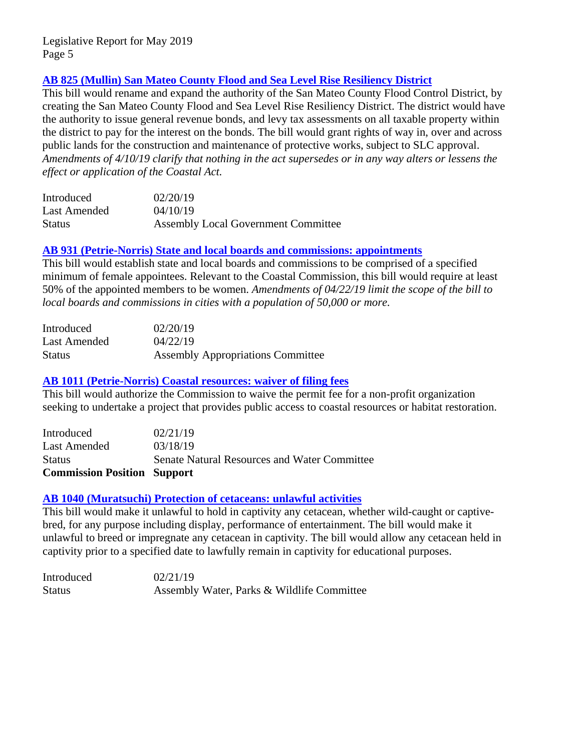# **[AB 825 \(Mullin\) San Mateo County Flood and Sea Level Rise Resiliency District](http://leginfo.legislature.ca.gov/faces/billNavClient.xhtml?bill_id=201920200AB825)**

This bill would rename and expand the authority of the San Mateo County Flood Control District, by creating the San Mateo County Flood and Sea Level Rise Resiliency District. The district would have the authority to issue general revenue bonds, and levy tax assessments on all taxable property within the district to pay for the interest on the bonds. The bill would grant rights of way in, over and across public lands for the construction and maintenance of protective works, subject to SLC approval. *Amendments of 4/10/19 clarify that nothing in the act supersedes or in any way alters or lessens the effect or application of the Coastal Act.*

| Introduced    | 02/20/19                                   |
|---------------|--------------------------------------------|
| Last Amended  | 04/10/19                                   |
| <b>Status</b> | <b>Assembly Local Government Committee</b> |

#### **[AB 931 \(Petrie-Norris\) State and local boards and commissions: appointments](http://leginfo.legislature.ca.gov/faces/billNavClient.xhtml?bill_id=201920200AB931)**

This bill would establish state and local boards and commissions to be comprised of a specified minimum of female appointees. Relevant to the Coastal Commission, this bill would require at least 50% of the appointed members to be women. *Amendments of 04/22/19 limit the scope of the bill to local boards and commissions in cities with a population of 50,000 or more.*

| Introduced    | 02/20/19                                 |
|---------------|------------------------------------------|
| Last Amended  | 04/22/19                                 |
| <b>Status</b> | <b>Assembly Appropriations Committee</b> |

#### **[AB 1011 \(Petrie-Norris\) Coastal resources: waiver of filing fees](http://leginfo.legislature.ca.gov/faces/billNavClient.xhtml?bill_id=201920200AB1011)**

This bill would authorize the Commission to waive the permit fee for a non-profit organization seeking to undertake a project that provides public access to coastal resources or habitat restoration.

| <b>Commission Position Support</b> |                                                     |
|------------------------------------|-----------------------------------------------------|
| <b>Status</b>                      | <b>Senate Natural Resources and Water Committee</b> |
| Last Amended                       | 03/18/19                                            |
| Introduced                         | 02/21/19                                            |

#### **[AB 1040 \(Muratsuchi\) Protection of cetaceans: unlawful activities](http://leginfo.legislature.ca.gov/faces/billNavClient.xhtml?bill_id=201920200AB1040)**

This bill would make it unlawful to hold in captivity any cetacean, whether wild-caught or captivebred, for any purpose including display, performance of entertainment. The bill would make it unlawful to breed or impregnate any cetacean in captivity. The bill would allow any cetacean held in captivity prior to a specified date to lawfully remain in captivity for educational purposes.

Introduced 02/21/19 Status Assembly Water, Parks & Wildlife Committee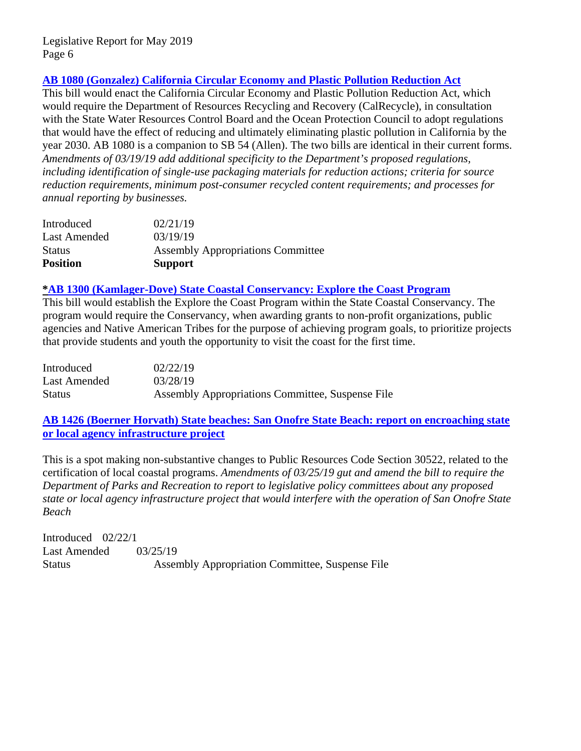# **[AB 1080 \(Gonzalez\) California Circular Economy and Plastic Pollution Reduction Act](http://leginfo.legislature.ca.gov/faces/billNavClient.xhtml?bill_id=201920200AB1080)**

This bill would enact the California Circular Economy and Plastic Pollution Reduction Act, which would require the Department of Resources Recycling and Recovery (CalRecycle), in consultation with the State Water Resources Control Board and the Ocean Protection Council to adopt regulations that would have the effect of reducing and ultimately eliminating plastic pollution in California by the year 2030. AB 1080 is a companion to SB 54 (Allen). The two bills are identical in their current forms. *Amendments of 03/19/19 add additional specificity to the Department's proposed regulations, including identification of single-use packaging materials for reduction actions; criteria for source reduction requirements, minimum post-consumer recycled content requirements; and processes for annual reporting by businesses.* 

| Introduced          | 02/21/19                                 |
|---------------------|------------------------------------------|
| <b>Last Amended</b> | 03/19/19                                 |
| <b>Status</b>       | <b>Assembly Appropriations Committee</b> |
| <b>Position</b>     | <b>Support</b>                           |

#### **[\\*AB 1300 \(Kamlager-Dove\) State Coastal Conservancy: Explore the Coast Program](http://leginfo.legislature.ca.gov/faces/billNavClient.xhtml?bill_id=201920200AB1300)**

This bill would establish the Explore the Coast Program within the State Coastal Conservancy. The program would require the Conservancy, when awarding grants to non-profit organizations, public agencies and Native American Tribes for the purpose of achieving program goals, to prioritize projects that provide students and youth the opportunity to visit the coast for the first time.

| Introduced    | 02/22/19                                         |
|---------------|--------------------------------------------------|
| Last Amended  | 03/28/19                                         |
| <b>Status</b> | Assembly Appropriations Committee, Suspense File |

**AB 1426 (Boerner [Horvath\) State beaches: San Onofre State Beach: report on encroaching state](http://leginfo.legislature.ca.gov/faces/billNavClient.xhtml?bill_id=201920200AB1426)  [or local agency infrastructure project](http://leginfo.legislature.ca.gov/faces/billNavClient.xhtml?bill_id=201920200AB1426)**

This is a spot making non-substantive changes to Public Resources Code Section 30522, related to the certification of local coastal programs. *Amendments of 03/25/19 gut and amend the bill to require the Department of Parks and Recreation to report to legislative policy committees about any proposed state or local agency infrastructure project that would interfere with the operation of San Onofre State Beach*

Introduced 02/22/1 Last Amended  $03/25/19$ Status Assembly Appropriation Committee, Suspense File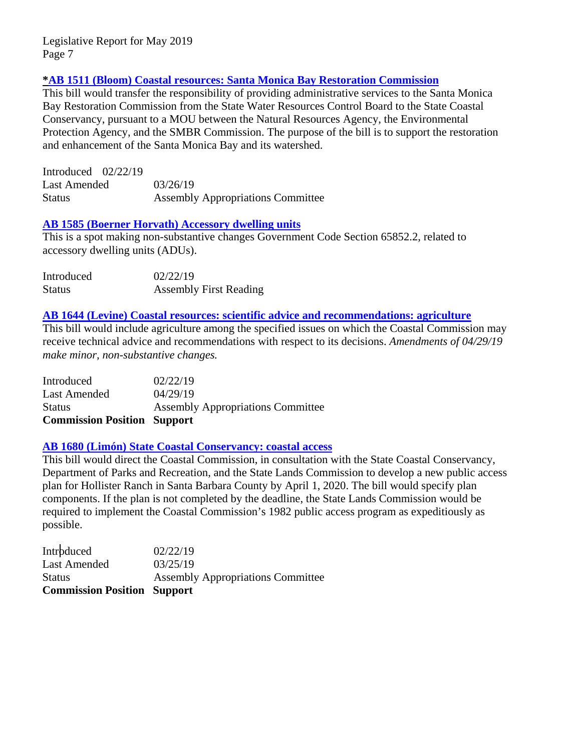## **[\\*AB 1511 \(Bloom\) Coastal resources: Santa Monica Bay Restoration Commission](http://leginfo.legislature.ca.gov/faces/billNavClient.xhtml?bill_id=201920200AB1511)**

This bill would transfer the responsibility of providing administrative services to the Santa Monica Bay Restoration Commission from the State Water Resources Control Board to the State Coastal Conservancy, pursuant to a MOU between the Natural Resources Agency, the Environmental Protection Agency, and the SMBR Commission. The purpose of the bill is to support the restoration and enhancement of the Santa Monica Bay and its watershed.

| Introduced $02/22/19$ |                                          |
|-----------------------|------------------------------------------|
| Last Amended          | 03/26/19                                 |
| Status                | <b>Assembly Appropriations Committee</b> |

# **[AB 1585 \(Boerner Horvath\) Accessory dwelling units](http://leginfo.legislature.ca.gov/faces/billNavClient.xhtml?bill_id=201920200AB1585)**

This is a spot making non-substantive changes Government Code Section 65852.2, related to accessory dwelling units (ADUs).

| Introduced    | 02/22/19                      |
|---------------|-------------------------------|
| <b>Status</b> | <b>Assembly First Reading</b> |

#### **[AB 1644 \(Levine\) Coastal resources: scientific advice and recommendations: agriculture](http://leginfo.legislature.ca.gov/faces/billNavClient.xhtml?bill_id=201920200AB1644)**

This bill would include agriculture among the specified issues on which the Coastal Commission may receive technical advice and recommendations with respect to its decisions. *Amendments of 04/29/19 make minor, non-substantive changes.*

| <b>Commission Position Support</b> |                                          |
|------------------------------------|------------------------------------------|
| <b>Status</b>                      | <b>Assembly Appropriations Committee</b> |
| Last Amended                       | 04/29/19                                 |
| Introduced                         | 02/22/19                                 |

#### **[AB 1680 \(Limón\) State Coastal Conservancy: coastal access](http://leginfo.legislature.ca.gov/faces/billNavClient.xhtml?bill_id=201920200AB1680)**

This bill would direct the Coastal Commission, in consultation with the State Coastal Conservancy, Department of Parks and Recreation, and the State Lands Commission to develop a new public access plan for Hollister Ranch in Santa Barbara County by April 1, 2020. The bill would specify plan components. If the plan is not completed by the deadline, the State Lands Commission would be required to implement the Coastal Commission's 1982 public access program as expeditiously as possible.

| <b>Commission Position Support</b> |                                          |
|------------------------------------|------------------------------------------|
| Status                             | <b>Assembly Appropriations Committee</b> |
| <b>Last Amended</b>                | 03/25/19                                 |
| Introduced                         | 02/22/19                                 |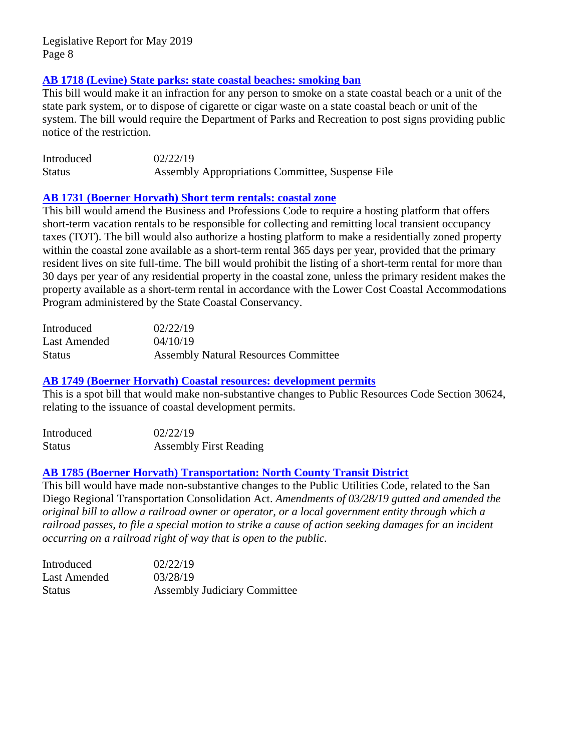# **[AB 1718 \(Levine\) State parks: state coastal beaches: smoking ban](http://leginfo.legislature.ca.gov/faces/billNavClient.xhtml?bill_id=201920200AB1718)**

This bill would make it an infraction for any person to smoke on a state coastal beach or a unit of the state park system, or to dispose of cigarette or cigar waste on a state coastal beach or unit of the system. The bill would require the Department of Parks and Recreation to post signs providing public notice of the restriction.

| Introduced    | 02/22/19                                                |  |
|---------------|---------------------------------------------------------|--|
| <b>Status</b> | <b>Assembly Appropriations Committee, Suspense File</b> |  |

#### **AB 1731 (Boerner [Horvath\) Short term rentals: coastal zone](http://leginfo.legislature.ca.gov/faces/billNavClient.xhtml?bill_id=201920200AB1731)**

This bill would amend the Business and Professions Code to require a hosting platform that offers short-term vacation rentals to be responsible for collecting and remitting local transient occupancy taxes (TOT). The bill would also authorize a hosting platform to make a residentially zoned property within the coastal zone available as a short-term rental 365 days per year, provided that the primary resident lives on site full-time. The bill would prohibit the listing of a short-term rental for more than 30 days per year of any residential property in the coastal zone, unless the primary resident makes the property available as a short-term rental in accordance with the Lower Cost Coastal Accommodations Program administered by the State Coastal Conservancy.

| Introduced    | 02/22/19                                    |
|---------------|---------------------------------------------|
| Last Amended  | 04/10/19                                    |
| <b>Status</b> | <b>Assembly Natural Resources Committee</b> |

#### **AB 1749 (Boerner [Horvath\) Coastal resources: development permits](http://leginfo.legislature.ca.gov/faces/billNavClient.xhtml?bill_id=201920200AB1749)**

This is a spot bill that would make non-substantive changes to Public Resources Code Section 30624, relating to the issuance of coastal development permits.

| Introduced    | 02/22/19                      |
|---------------|-------------------------------|
| <b>Status</b> | <b>Assembly First Reading</b> |

#### **AB 1785 (Boerner [Horvath\) Transportation: North County Transit](http://leginfo.legislature.ca.gov/faces/billNavClient.xhtml?bill_id=201920200AB1785) District**

This bill would have made non-substantive changes to the Public Utilities Code, related to the San Diego Regional Transportation Consolidation Act. *Amendments of 03/28/19 gutted and amended the original bill to allow a railroad owner or operator, or a local government entity through which a railroad passes, to file a special motion to strike a cause of action seeking damages for an incident occurring on a railroad right of way that is open to the public.* 

| Introduced    | 02/22/19                            |
|---------------|-------------------------------------|
| Last Amended  | 03/28/19                            |
| <b>Status</b> | <b>Assembly Judiciary Committee</b> |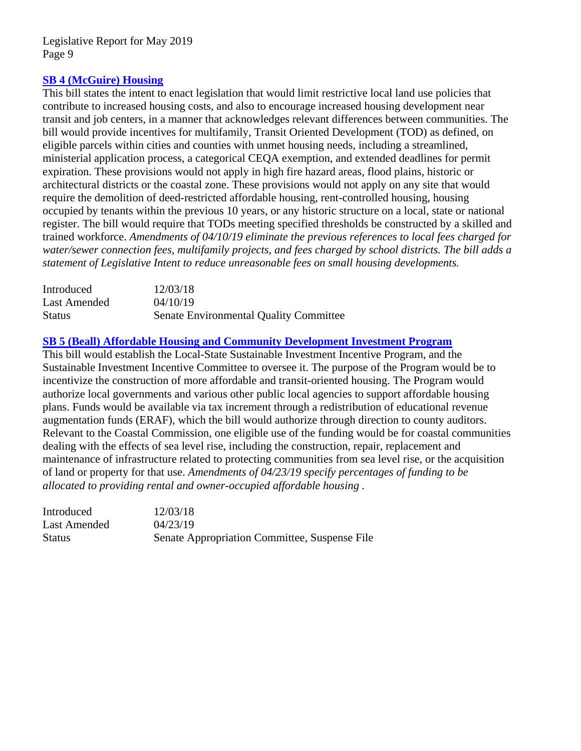## **[SB 4 \(McGuire\) Housing](http://leginfo.legislature.ca.gov/faces/billNavClient.xhtml?bill_id=201920200SB4)**

This bill states the intent to enact legislation that would limit restrictive local land use policies that contribute to increased housing costs, and also to encourage increased housing development near transit and job centers, in a manner that acknowledges relevant differences between communities. The bill would provide incentives for multifamily, Transit Oriented Development (TOD) as defined, on eligible parcels within cities and counties with unmet housing needs, including a streamlined, ministerial application process, a categorical CEQA exemption, and extended deadlines for permit expiration. These provisions would not apply in high fire hazard areas, flood plains, historic or architectural districts or the coastal zone. These provisions would not apply on any site that would require the demolition of deed-restricted affordable housing, rent-controlled housing, housing occupied by tenants within the previous 10 years, or any historic structure on a local, state or national register. The bill would require that TODs meeting specified thresholds be constructed by a skilled and trained workforce. *Amendments of 04/10/19 eliminate the previous references to local fees charged for water/sewer connection fees, multifamily projects, and fees charged by school districts. The bill adds a statement of Legislative Intent to reduce unreasonable fees on small housing developments.*

| Introduced    | 12/03/18                                      |
|---------------|-----------------------------------------------|
| Last Amended  | 04/10/19                                      |
| <b>Status</b> | <b>Senate Environmental Quality Committee</b> |

# **[SB 5 \(Beall\) Affordable Housing and Community Development](http://leginfo.legislature.ca.gov/faces/billNavClient.xhtml?bill_id=201920200SB5) Investment Program**

This bill would establish the Local-State Sustainable Investment Incentive Program, and the Sustainable Investment Incentive Committee to oversee it. The purpose of the Program would be to incentivize the construction of more affordable and transit-oriented housing. The Program would authorize local governments and various other public local agencies to support affordable housing plans. Funds would be available via tax increment through a redistribution of educational revenue augmentation funds (ERAF), which the bill would authorize through direction to county auditors. Relevant to the Coastal Commission, one eligible use of the funding would be for coastal communities dealing with the effects of sea level rise, including the construction, repair, replacement and maintenance of infrastructure related to protecting communities from sea level rise, or the acquisition of land or property for that use. *Amendments of 04/23/19 specify percentages of funding to be allocated to providing rental and owner-occupied affordable housing .*

| Introduced    | 12/03/18                                      |
|---------------|-----------------------------------------------|
| Last Amended  | 04/23/19                                      |
| <b>Status</b> | Senate Appropriation Committee, Suspense File |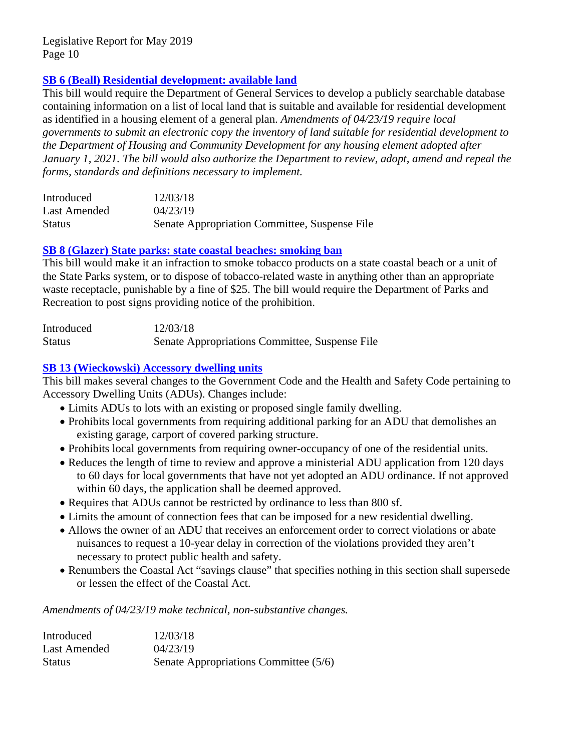# **[SB 6 \(Beall\) Residential development: available land](http://leginfo.legislature.ca.gov/faces/billNavClient.xhtml?bill_id=201920200SB6)**

This bill would require the Department of General Services to develop a publicly searchable database containing information on a list of local land that is suitable and available for residential development as identified in a housing element of a general plan. *Amendments of 04/23/19 require local governments to submit an electronic copy the inventory of land suitable for residential development to the Department of Housing and Community Development for any housing element adopted after January 1, 2021. The bill would also authorize the Department to review, adopt, amend and repeal the forms, standards and definitions necessary to implement.*

| Introduced    | 12/03/18                                      |
|---------------|-----------------------------------------------|
| Last Amended  | 04/23/19                                      |
| <b>Status</b> | Senate Appropriation Committee, Suspense File |

#### **SB 8 [\(Glazer\) State parks: state coastal beaches: smoking ban](http://leginfo.legislature.ca.gov/faces/billNavClient.xhtml?bill_id=201920200SB8)**

This bill would make it an infraction to smoke tobacco products on a state coastal beach or a unit of the State Parks system, or to dispose of tobacco-related waste in anything other than an appropriate waste receptacle, punishable by a fine of \$25. The bill would require the Department of Parks and Recreation to post signs providing notice of the prohibition.

| Introduced    | 12/03/18                                       |
|---------------|------------------------------------------------|
| <b>Status</b> | Senate Appropriations Committee, Suspense File |

# **SB 13 [\(Wieckowski\) Accessory dwelling units](http://leginfo.legislature.ca.gov/faces/billNavClient.xhtml?bill_id=201920200SB13)**

This bill makes several changes to the Government Code and the Health and Safety Code pertaining to Accessory Dwelling Units (ADUs). Changes include:

- Limits ADUs to lots with an existing or proposed single family dwelling.
- Prohibits local governments from requiring additional parking for an ADU that demolishes an existing garage, carport of covered parking structure.
- Prohibits local governments from requiring owner-occupancy of one of the residential units.
- Reduces the length of time to review and approve a ministerial ADU application from 120 days to 60 days for local governments that have not yet adopted an ADU ordinance. If not approved within 60 days, the application shall be deemed approved.
- Requires that ADUs cannot be restricted by ordinance to less than 800 sf.
- Limits the amount of connection fees that can be imposed for a new residential dwelling.
- Allows the owner of an ADU that receives an enforcement order to correct violations or abate nuisances to request a 10-year delay in correction of the violations provided they aren't necessary to protect public health and safety.
- Renumbers the Coastal Act "savings clause" that specifies nothing in this section shall supersede or lessen the effect of the Coastal Act.

*Amendments of 04/23/19 make technical, non-substantive changes.*

| Introduced    | 12/03/18                              |
|---------------|---------------------------------------|
| Last Amended  | 04/23/19                              |
| <b>Status</b> | Senate Appropriations Committee (5/6) |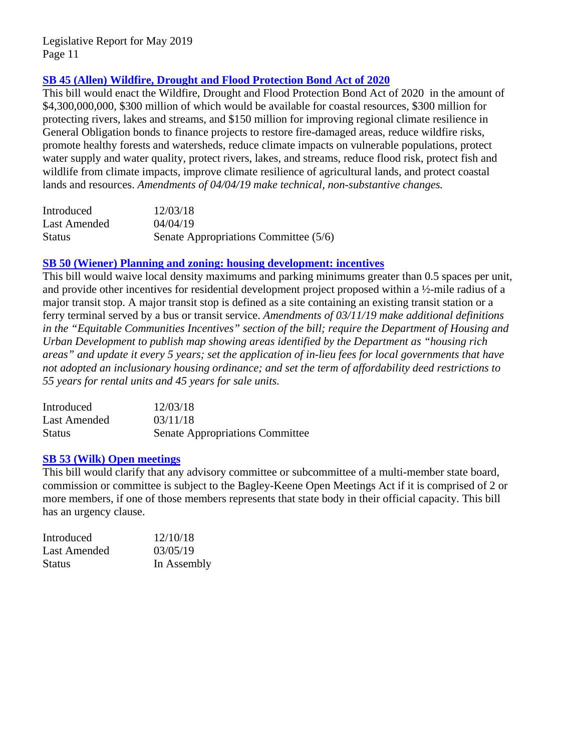# **[SB 45 \(Allen\) Wildfire, Drought and Flood Protection Bond Act of 2020](http://leginfo.legislature.ca.gov/faces/billNavClient.xhtml?bill_id=201920200SB45)**

This bill would enact the Wildfire, Drought and Flood Protection Bond Act of 2020 in the amount of \$4,300,000,000, \$300 million of which would be available for coastal resources, \$300 million for protecting rivers, lakes and streams, and \$150 million for improving regional climate resilience in General Obligation bonds to finance projects to restore fire-damaged areas, reduce wildfire risks, promote healthy forests and watersheds, reduce climate impacts on vulnerable populations, protect water supply and water quality, protect rivers, lakes, and streams, reduce flood risk, protect fish and wildlife from climate impacts, improve climate resilience of agricultural lands, and protect coastal lands and resources. *Amendments of 04/04/19 make technical, non-substantive changes.*

| Introduced    | 12/03/18                              |
|---------------|---------------------------------------|
| Last Amended  | 04/04/19                              |
| <b>Status</b> | Senate Appropriations Committee (5/6) |

# **[SB 50 \(Wiener\) Planning and zoning: housing development: incentives](http://leginfo.legislature.ca.gov/faces/billNavClient.xhtml?bill_id=201920200SB50)**

This bill would waive local density maximums and parking minimums greater than 0.5 spaces per unit, and provide other incentives for residential development project proposed within a ½-mile radius of a major transit stop. A major transit stop is defined as a site containing an existing transit station or a ferry terminal served by a bus or transit service. *Amendments of 03/11/19 make additional definitions in the "Equitable Communities Incentives" section of the bill; require the Department of Housing and Urban Development to publish map showing areas identified by the Department as "housing rich areas" and update it every 5 years; set the application of in-lieu fees for local governments that have not adopted an inclusionary housing ordinance; and set the term of affordability deed restrictions to 55 years for rental units and 45 years for sale units.*

| Introduced    | 12/03/18                               |
|---------------|----------------------------------------|
| Last Amended  | 03/11/18                               |
| <b>Status</b> | <b>Senate Appropriations Committee</b> |

#### **[SB 53 \(Wilk\) Open meetings](http://leginfo.legislature.ca.gov/faces/billNavClient.xhtml?bill_id=201920200SB53)**

This bill would clarify that any advisory committee or subcommittee of a multi-member state board, commission or committee is subject to the Bagley-Keene Open Meetings Act if it is comprised of 2 or more members, if one of those members represents that state body in their official capacity. This bill has an urgency clause.

| Introduced    | 12/10/18    |
|---------------|-------------|
| Last Amended  | 03/05/19    |
| <b>Status</b> | In Assembly |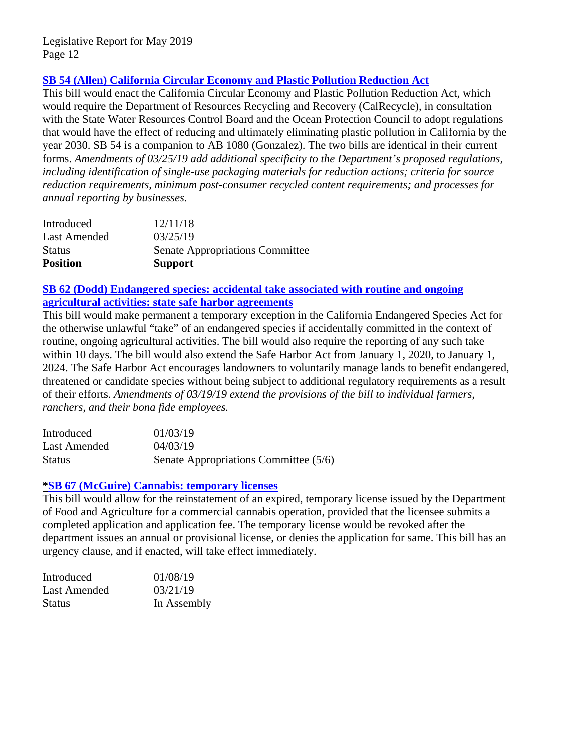# **SB 54 (Allen) [California Circular Economy and Plastic Pollution Reduction Act](http://leginfo.legislature.ca.gov/faces/billNavClient.xhtml?bill_id=201920200SB54)**

This bill would enact the California Circular Economy and Plastic Pollution Reduction Act, which would require the Department of Resources Recycling and Recovery (CalRecycle), in consultation with the State Water Resources Control Board and the Ocean Protection Council to adopt regulations that would have the effect of reducing and ultimately eliminating plastic pollution in California by the year 2030. SB 54 is a companion to AB 1080 (Gonzalez). The two bills are identical in their current forms. *Amendments of 03/25/19 add additional specificity to the Department's proposed regulations, including identification of single-use packaging materials for reduction actions; criteria for source reduction requirements, minimum post-consumer recycled content requirements; and processes for annual reporting by businesses.* 

| Introduced          | 12/11/18                               |
|---------------------|----------------------------------------|
| <b>Last Amended</b> | 03/25/19                               |
| <b>Status</b>       | <b>Senate Appropriations Committee</b> |
| <b>Position</b>     | <b>Support</b>                         |

# **[SB 62 \(Dodd\) Endangered species: accidental take](http://leginfo.legislature.ca.gov/faces/billNavClient.xhtml?bill_id=201920200SB62) associated with routine and ongoing [agricultural activities: state safe harbor agreements](http://leginfo.legislature.ca.gov/faces/billNavClient.xhtml?bill_id=201920200SB62)**

This bill would make permanent a temporary exception in the California Endangered Species Act for the otherwise unlawful "take" of an endangered species if accidentally committed in the context of routine, ongoing agricultural activities. The bill would also require the reporting of any such take within 10 days. The bill would also extend the Safe Harbor Act from January 1, 2020, to January 1, 2024. The Safe Harbor Act encourages landowners to voluntarily manage lands to benefit endangered, threatened or candidate species without being subject to additional regulatory requirements as a result of their efforts. *Amendments of 03/19/19 extend the provisions of the bill to individual farmers, ranchers, and their bona fide employees.* 

| Introduced    | 01/03/19                              |
|---------------|---------------------------------------|
| Last Amended  | 04/03/19                              |
| <b>Status</b> | Senate Appropriations Committee (5/6) |

#### **[\\*SB 67 \(McGuire\) Cannabis: temporary licenses](http://leginfo.legislature.ca.gov/faces/billNavClient.xhtml?bill_id=201920200SB67)**

This bill would allow for the reinstatement of an expired, temporary license issued by the Department of Food and Agriculture for a commercial cannabis operation, provided that the licensee submits a completed application and application fee. The temporary license would be revoked after the department issues an annual or provisional license, or denies the application for same. This bill has an urgency clause, and if enacted, will take effect immediately.

| Introduced    | 01/08/19    |
|---------------|-------------|
| Last Amended  | 03/21/19    |
| <b>Status</b> | In Assembly |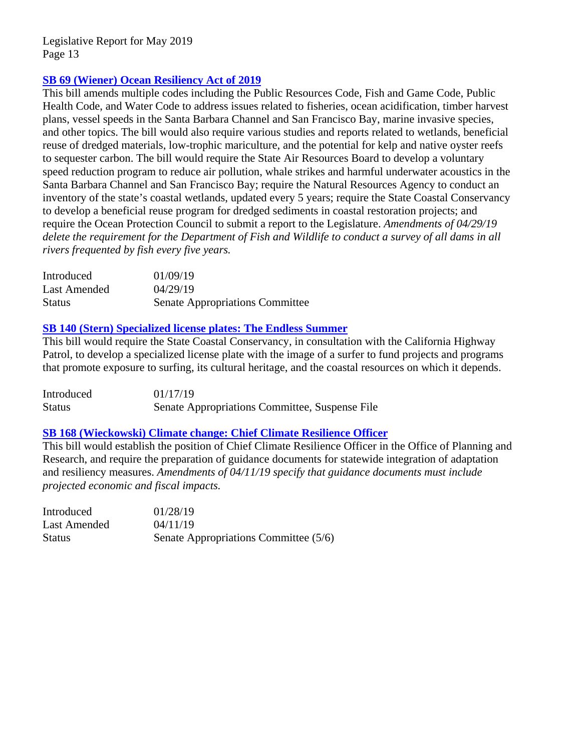#### **[SB 69 \(Wiener\) Ocean Resiliency](http://leginfo.legislature.ca.gov/faces/billTextClient.xhtml?bill_id=201920200SB69) Act of 2019**

This bill amends multiple codes including the Public Resources Code, Fish and Game Code, Public Health Code, and Water Code to address issues related to fisheries, ocean acidification, timber harvest plans, vessel speeds in the Santa Barbara Channel and San Francisco Bay, marine invasive species, and other topics. The bill would also require various studies and reports related to wetlands, beneficial reuse of dredged materials, low-trophic mariculture, and the potential for kelp and native oyster reefs to sequester carbon. The bill would require the State Air Resources Board to develop a voluntary speed reduction program to reduce air pollution, whale strikes and harmful underwater acoustics in the Santa Barbara Channel and San Francisco Bay; require the Natural Resources Agency to conduct an inventory of the state's coastal wetlands, updated every 5 years; require the State Coastal Conservancy to develop a beneficial reuse program for dredged sediments in coastal restoration projects; and require the Ocean Protection Council to submit a report to the Legislature. *Amendments of 04/29/19 delete the requirement for the Department of Fish and Wildlife to conduct a survey of all dams in all rivers frequented by fish every five years.*

| Introduced    | 01/09/19                               |
|---------------|----------------------------------------|
| Last Amended  | 04/29/19                               |
| <b>Status</b> | <b>Senate Appropriations Committee</b> |

#### **[SB 140 \(Stern\) Specialized license plates: The Endless Summer](http://leginfo.legislature.ca.gov/faces/billNavClient.xhtml?bill_id=201920200SB140)**

This bill would require the State Coastal Conservancy, in consultation with the California Highway Patrol, to develop a specialized license plate with the image of a surfer to fund projects and programs that promote exposure to surfing, its cultural heritage, and the coastal resources on which it depends.

Introduced 01/17/19 Status Senate Appropriations Committee, Suspense File

#### **[SB 168 \(Wieckowski\) Climate change: Chief Climate Resilience Officer](http://leginfo.legislature.ca.gov/faces/billNavClient.xhtml?bill_id=201920200SB168)**

This bill would establish the position of Chief Climate Resilience Officer in the Office of Planning and Research, and require the preparation of guidance documents for statewide integration of adaptation and resiliency measures. *Amendments of 04/11/19 specify that guidance documents must include projected economic and fiscal impacts.*

| Introduced    | 01/28/19                              |
|---------------|---------------------------------------|
| Last Amended  | 04/11/19                              |
| <b>Status</b> | Senate Appropriations Committee (5/6) |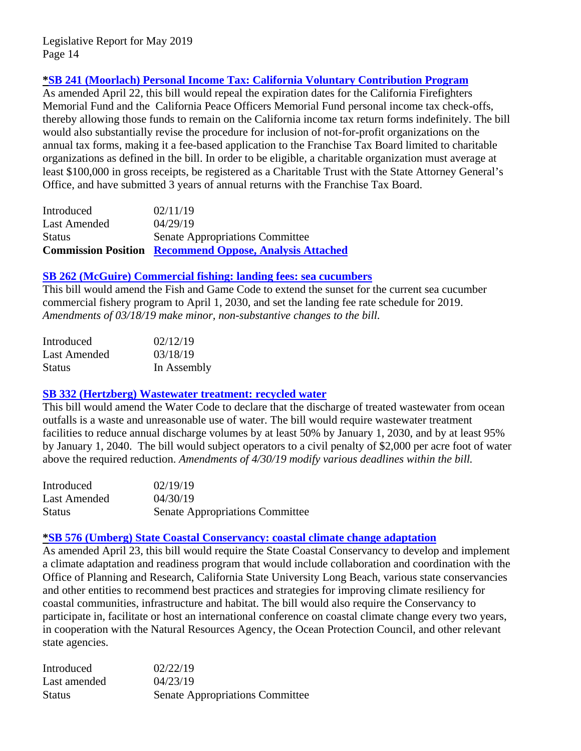# **[\\*SB 241 \(Moorlach\) Personal Income Tax: California Voluntary Contribution Program](http://leginfo.legislature.ca.gov/faces/billNavClient.xhtml?bill_id=201920200SB241)**

As amended April 22, this bill would repeal the expiration dates for the California Firefighters Memorial Fund and the California Peace Officers Memorial Fund personal income tax check-offs, thereby allowing those funds to remain on the California income tax return forms indefinitely. The bill would also substantially revise the procedure for inclusion of not-for-profit organizations on the annual tax forms, making it a fee-based application to the Franchise Tax Board limited to charitable organizations as defined in the bill. In order to be eligible, a charitable organization must average at least \$100,000 in gross receipts, be registered as a Charitable Trust with the State Attorney General's Office, and have submitted 3 years of annual returns with the Franchise Tax Board.

|               | <b>Commission Position Recommend Oppose, Analysis Attached</b> |
|---------------|----------------------------------------------------------------|
| <b>Status</b> | <b>Senate Appropriations Committee</b>                         |
| Last Amended  | 04/29/19                                                       |
| Introduced    | 02/11/19                                                       |

#### **[SB 262 \(McGuire\) Commercial fishing: landing fees: sea cucumbers](http://leginfo.legislature.ca.gov/faces/billNavClient.xhtml?bill_id=201920200SB262)**

This bill would amend the Fish and Game Code to extend the sunset for the current sea cucumber commercial fishery program to April 1, 2030, and set the landing fee rate schedule for 2019. *Amendments of 03/18/19 make minor, non-substantive changes to the bill.*

| Introduced    | 02/12/19    |
|---------------|-------------|
| Last Amended  | 03/18/19    |
| <b>Status</b> | In Assembly |

#### **[SB 332 \(Hertzberg\) Wastewater treatment: recycled water](http://leginfo.legislature.ca.gov/faces/billTextClient.xhtml?bill_id=201920200SB332)**

This bill would amend the Water Code to declare that the discharge of treated wastewater from ocean outfalls is a waste and unreasonable use of water. The bill would require wastewater treatment facilities to reduce annual discharge volumes by at least 50% by January 1, 2030, and by at least 95% by January 1, 2040. The bill would subject operators to a civil penalty of \$2,000 per acre foot of water above the required reduction. *Amendments of 4/30/19 modify various deadlines within the bill.*

| Introduced    | 02/19/19                               |
|---------------|----------------------------------------|
| Last Amended  | 04/30/19                               |
| <b>Status</b> | <b>Senate Appropriations Committee</b> |

#### **[\\*SB 576 \(Umberg\) State Coastal Conservancy: coastal climate change adaptation](http://leginfo.legislature.ca.gov/faces/billNavClient.xhtml?bill_id=201920200SB576)**

As amended April 23, this bill would require the State Coastal Conservancy to develop and implement a climate adaptation and readiness program that would include collaboration and coordination with the Office of Planning and Research, California State University Long Beach, various state conservancies and other entities to recommend best practices and strategies for improving climate resiliency for coastal communities, infrastructure and habitat. The bill would also require the Conservancy to participate in, facilitate or host an international conference on coastal climate change every two years, in cooperation with the Natural Resources Agency, the Ocean Protection Council, and other relevant state agencies.

| Introduced    | 02/22/19                               |
|---------------|----------------------------------------|
| Last amended  | 04/23/19                               |
| <b>Status</b> | <b>Senate Appropriations Committee</b> |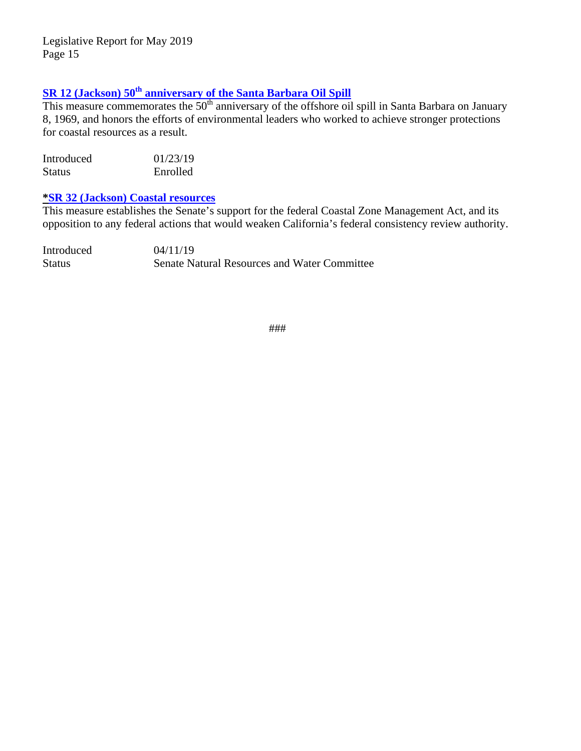# **SR 12 (Jackson) 50th [anniversary of the Santa Barbara Oil Spill](http://leginfo.legislature.ca.gov/faces/billTextClient.xhtml?bill_id=201920200SR12)**

This measure commemorates the 50<sup>th</sup> anniversary of the offshore oil spill in Santa Barbara on January 8, 1969, and honors the efforts of environmental leaders who worked to achieve stronger protections for coastal resources as a result.

| Introduced    | 01/23/19 |
|---------------|----------|
| <b>Status</b> | Enrolled |

#### **[\\*SR 32 \(Jackson\) Coastal resources](http://leginfo.legislature.ca.gov/faces/billNavClient.xhtml?bill_id=201920200SR32)**

This measure establishes the Senate's support for the federal Coastal Zone Management Act, and its opposition to any federal actions that would weaken California's federal consistency review authority.

| Introduced    | 04/11/19                                            |
|---------------|-----------------------------------------------------|
| <b>Status</b> | <b>Senate Natural Resources and Water Committee</b> |

###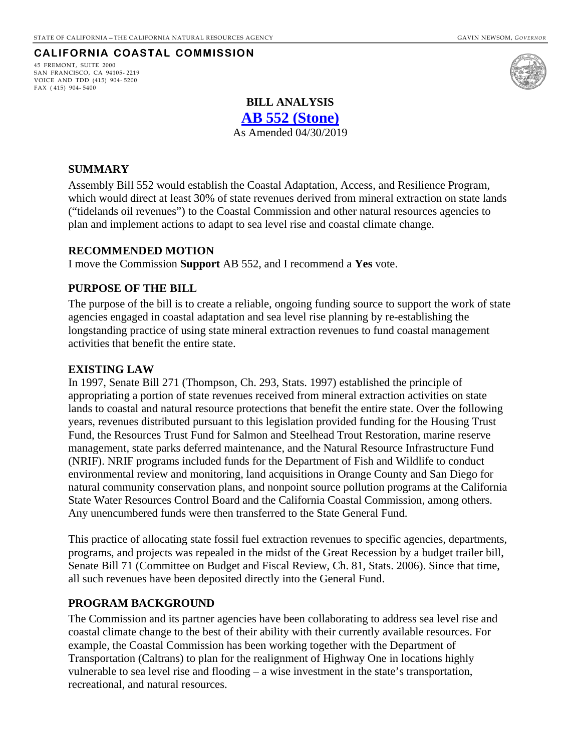#### **CALIFORNIA COASTAL COMMISSION**

<span id="page-15-0"></span>45 FREMONT, SUITE 2000 SAN FRANCISCO, CA 94105- 2219 VOICE AND TDD (415) 904- 5200 FAX ( 415) 904- 5400



# **BILL ANALYSIS**

**[AB 552 \(Stone\)](http://leginfo.legislature.ca.gov/faces/billNavClient.xhtml?bill_id=201920200AB552)**

As Amended 04/30/2019

#### **SUMMARY**

Assembly Bill 552 would establish the Coastal Adaptation, Access, and Resilience Program, which would direct at least 30% of state revenues derived from mineral extraction on state lands ("tidelands oil revenues") to the Coastal Commission and other natural resources agencies to plan and implement actions to adapt to sea level rise and coastal climate change.

#### **RECOMMENDED MOTION**

I move the Commission **Support** AB 552, and I recommend a **Yes** vote.

#### **PURPOSE OF THE BILL**

The purpose of the bill is to create a reliable, ongoing funding source to support the work of state agencies engaged in coastal adaptation and sea level rise planning by re-establishing the longstanding practice of using state mineral extraction revenues to fund coastal management activities that benefit the entire state.

#### **EXISTING LAW**

In 1997, Senate Bill 271 (Thompson, Ch. 293, Stats. 1997) established the principle of appropriating a portion of state revenues received from mineral extraction activities on state lands to coastal and natural resource protections that benefit the entire state. Over the following years, revenues distributed pursuant to this legislation provided funding for the Housing Trust Fund, the Resources Trust Fund for Salmon and Steelhead Trout Restoration, marine reserve management, state parks deferred maintenance, and the Natural Resource Infrastructure Fund (NRIF). NRIF programs included funds for the Department of Fish and Wildlife to conduct environmental review and monitoring, land acquisitions in Orange County and San Diego for natural community conservation plans, and nonpoint source pollution programs at the California State Water Resources Control Board and the California Coastal Commission, among others. Any unencumbered funds were then transferred to the State General Fund.

This practice of allocating state fossil fuel extraction revenues to specific agencies, departments, programs, and projects was repealed in the midst of the Great Recession by a budget trailer bill, Senate Bill 71 (Committee on Budget and Fiscal Review, Ch. 81, Stats. 2006). Since that time, all such revenues have been deposited directly into the General Fund.

#### **PROGRAM BACKGROUND**

The Commission and its partner agencies have been collaborating to address sea level rise and coastal climate change to the best of their ability with their currently available resources. For example, the Coastal Commission has been working together with the Department of Transportation (Caltrans) to plan for the realignment of Highway One in locations highly vulnerable to sea level rise and flooding – a wise investment in the state's transportation, recreational, and natural resources.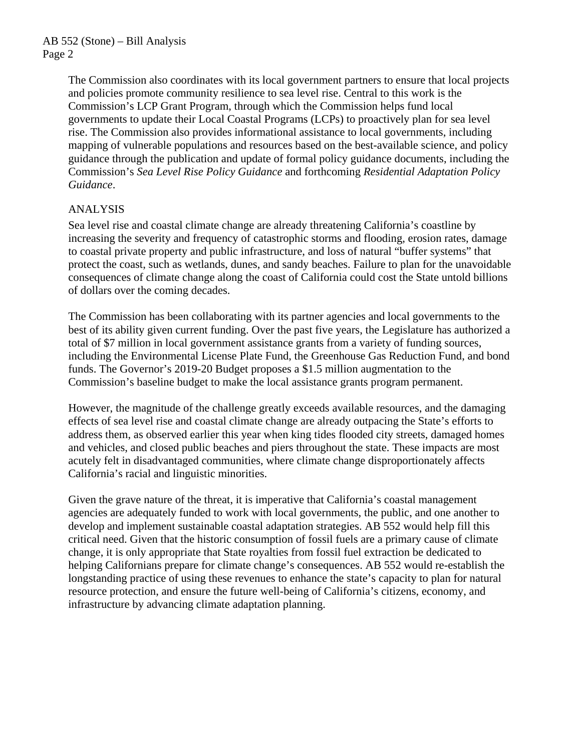The Commission also coordinates with its local government partners to ensure that local projects and policies promote community resilience to sea level rise. Central to this work is the Commission's LCP Grant Program, through which the Commission helps fund local governments to update their Local Coastal Programs (LCPs) to proactively plan for sea level rise. The Commission also provides informational assistance to local governments, including mapping of vulnerable populations and resources based on the best-available science, and policy guidance through the publication and update of formal policy guidance documents, including the Commission's *Sea Level Rise Policy Guidance* and forthcoming *Residential Adaptation Policy Guidance*.

# ANALYSIS

Sea level rise and coastal climate change are already threatening California's coastline by increasing the severity and frequency of catastrophic storms and flooding, erosion rates, damage to coastal private property and public infrastructure, and loss of natural "buffer systems" that protect the coast, such as wetlands, dunes, and sandy beaches. Failure to plan for the unavoidable consequences of climate change along the coast of California could cost the State untold billions of dollars over the coming decades.

The Commission has been collaborating with its partner agencies and local governments to the best of its ability given current funding. Over the past five years, the Legislature has authorized a total of \$7 million in local government assistance grants from a variety of funding sources, including the Environmental License Plate Fund, the Greenhouse Gas Reduction Fund, and bond funds. The Governor's 2019-20 Budget proposes a \$1.5 million augmentation to the Commission's baseline budget to make the local assistance grants program permanent.

However, the magnitude of the challenge greatly exceeds available resources, and the damaging effects of sea level rise and coastal climate change are already outpacing the State's efforts to address them, as observed earlier this year when king tides flooded city streets, damaged homes and vehicles, and closed public beaches and piers throughout the state. These impacts are most acutely felt in disadvantaged communities, where climate change disproportionately affects California's racial and linguistic minorities.

Given the grave nature of the threat, it is imperative that California's coastal management agencies are adequately funded to work with local governments, the public, and one another to develop and implement sustainable coastal adaptation strategies. AB 552 would help fill this critical need. Given that the historic consumption of fossil fuels are a primary cause of climate change, it is only appropriate that State royalties from fossil fuel extraction be dedicated to helping Californians prepare for climate change's consequences. AB 552 would re-establish the longstanding practice of using these revenues to enhance the state's capacity to plan for natural resource protection, and ensure the future well-being of California's citizens, economy, and infrastructure by advancing climate adaptation planning.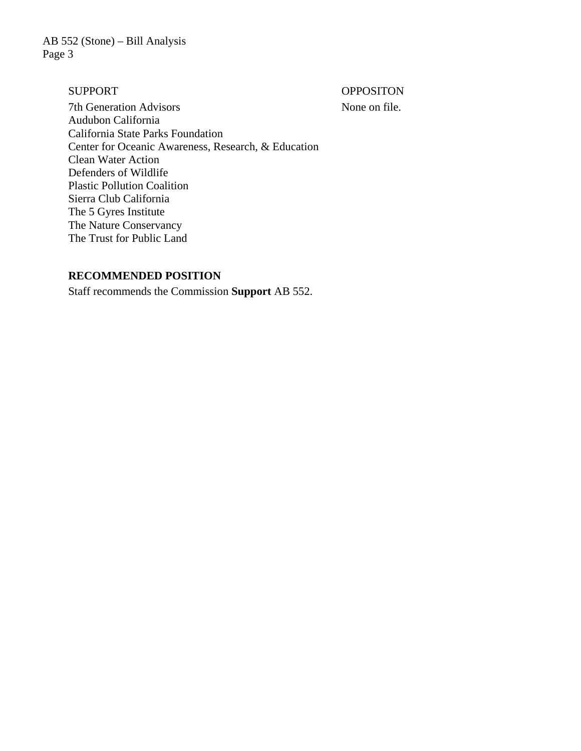AB 552 (Stone) – Bill Analysis Page 3

SUPPORT OPPOSITON

7th Generation Advisors None on file. Audubon California California State Parks Foundation Center for Oceanic Awareness, Research, & Education Clean Water Action Defenders of Wildlife Plastic Pollution Coalition Sierra Club California The 5 Gyres Institute The Nature Conservancy The Trust for Public Land

#### **RECOMMENDED POSITION**

Staff recommends the Commission **Support** AB 552.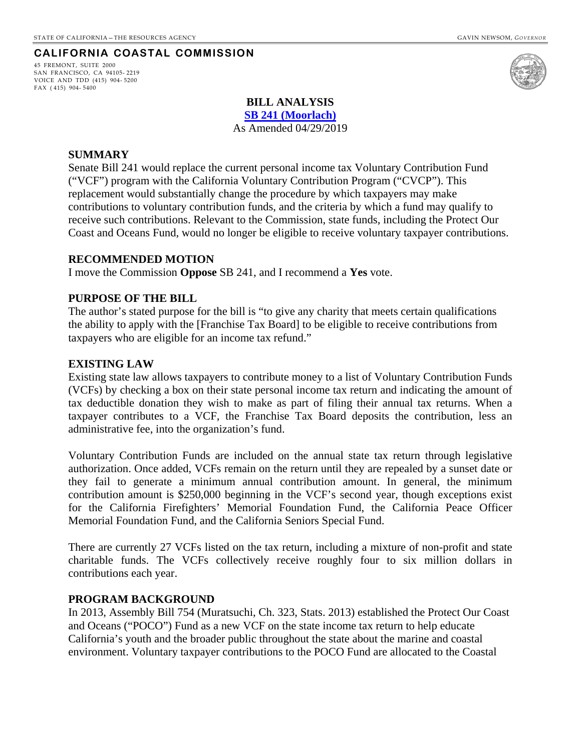#### **CALIFORNIA COASTAL COMMISSION**

<span id="page-18-0"></span>45 FREMONT, SUITE 2000 SAN FRANCISCO, CA 94105- 2219 VOICE AND TDD (415) 904- 5200 FAX ( 415) 904- 5400



#### **BILL ANALYSIS**

**SB 241 [\(Moorlach\)](http://leginfo.legislature.ca.gov/faces/billTextClient.xhtml?bill_id=201920200SB241)**

As Amended 04/29/2019

#### **SUMMARY**

Senate Bill 241 would replace the current personal income tax Voluntary Contribution Fund ("VCF") program with the California Voluntary Contribution Program ("CVCP"). This replacement would substantially change the procedure by which taxpayers may make contributions to voluntary contribution funds, and the criteria by which a fund may qualify to receive such contributions. Relevant to the Commission, state funds, including the Protect Our Coast and Oceans Fund, would no longer be eligible to receive voluntary taxpayer contributions.

#### **RECOMMENDED MOTION**

I move the Commission **Oppose** SB 241, and I recommend a **Yes** vote.

#### **PURPOSE OF THE BILL**

The author's stated purpose for the bill is "to give any charity that meets certain qualifications the ability to apply with the [Franchise Tax Board] to be eligible to receive contributions from taxpayers who are eligible for an income tax refund."

#### **EXISTING LAW**

Existing state law allows taxpayers to contribute money to a list of Voluntary Contribution Funds (VCFs) by checking a box on their state personal income tax return and indicating the amount of tax deductible donation they wish to make as part of filing their annual tax returns. When a taxpayer contributes to a VCF, the Franchise Tax Board deposits the contribution, less an administrative fee, into the organization's fund.

Voluntary Contribution Funds are included on the annual state tax return through legislative authorization. Once added, VCFs remain on the return until they are repealed by a sunset date or they fail to generate a minimum annual contribution amount. In general, the minimum contribution amount is \$250,000 beginning in the VCF's second year, though exceptions exist for the California Firefighters' Memorial Foundation Fund, the California Peace Officer Memorial Foundation Fund, and the California Seniors Special Fund.

There are currently 27 VCFs listed on the tax return, including a mixture of non-profit and state charitable funds. The VCFs collectively receive roughly four to six million dollars in contributions each year.

#### **PROGRAM BACKGROUND**

In 2013, Assembly Bill 754 (Muratsuchi, Ch. 323, Stats. 2013) established the Protect Our Coast and Oceans ("POCO") Fund as a new VCF on the state income tax return to help educate California's youth and the broader public throughout the state about the marine and coastal environment. Voluntary taxpayer contributions to the POCO Fund are allocated to the Coastal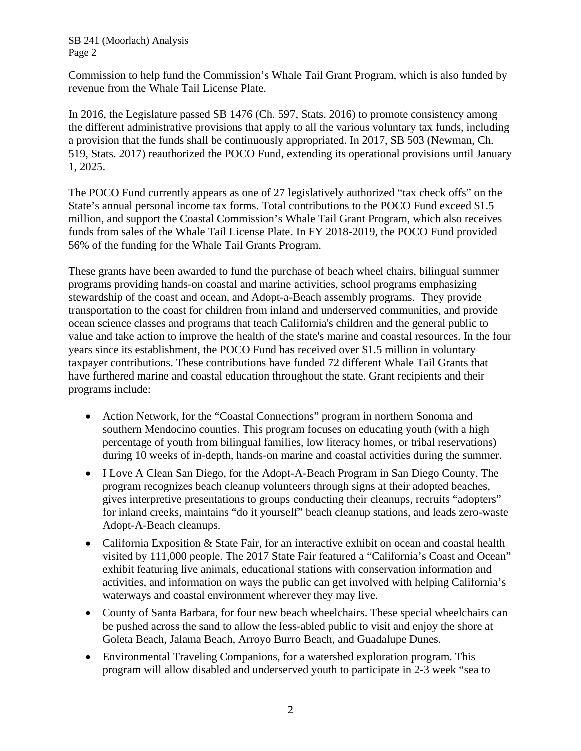SB 241 (Moorlach) Analysis Page 2

Commission to help fund the Commission's Whale Tail Grant Program, which is also funded by revenue from the Whale Tail License Plate.

In 2016, the Legislature passed SB 1476 (Ch. 597, Stats. 2016) to promote consistency among the different administrative provisions that apply to all the various voluntary tax funds, including a provision that the funds shall be continuously appropriated. In 2017, SB 503 (Newman, Ch. 519, Stats. 2017) reauthorized the POCO Fund, extending its operational provisions until January 1, 2025.

The POCO Fund currently appears as one of 27 legislatively authorized "tax check offs" on the State's annual personal income tax forms. Total contributions to the POCO Fund exceed \$1.5 million, and support the Coastal Commission's Whale Tail Grant Program, which also receives funds from sales of the Whale Tail License Plate. In FY 2018-2019, the POCO Fund provided 56% of the funding for the Whale Tail Grants Program.

These grants have been awarded to fund the purchase of beach wheel chairs, bilingual summer programs providing hands-on coastal and marine activities, school programs emphasizing stewardship of the coast and ocean, and Adopt-a-Beach assembly programs. They provide transportation to the coast for children from inland and underserved communities, and provide ocean science classes and programs that teach California's children and the general public to value and take action to improve the health of the state's marine and coastal resources. In the four years since its establishment, the POCO Fund has received over \$1.5 million in voluntary taxpayer contributions. These contributions have funded 72 different Whale Tail Grants that have furthered marine and coastal education throughout the state. Grant recipients and their programs include:

- Action Network, for the "Coastal Connections" program in northern Sonoma and southern Mendocino counties. This program focuses on educating youth (with a high percentage of youth from bilingual families, low literacy homes, or tribal reservations) during 10 weeks of in-depth, hands-on marine and coastal activities during the summer.
- I Love A Clean San Diego, for the Adopt-A-Beach Program in San Diego County. The program recognizes beach cleanup volunteers through signs at their adopted beaches, gives interpretive presentations to groups conducting their cleanups, recruits "adopters" for inland creeks, maintains "do it yourself" beach cleanup stations, and leads zero-waste Adopt-A-Beach cleanups.
- California Exposition & State Fair, for an interactive exhibit on ocean and coastal health visited by 111,000 people. The 2017 State Fair featured a "California's Coast and Ocean" exhibit featuring live animals, educational stations with conservation information and activities, and information on ways the public can get involved with helping California's waterways and coastal environment wherever they may live.
- County of Santa Barbara, for four new beach wheelchairs. These special wheelchairs can be pushed across the sand to allow the less-abled public to visit and enjoy the shore at Goleta Beach, Jalama Beach, Arroyo Burro Beach, and Guadalupe Dunes.
- Environmental Traveling Companions, for a watershed exploration program. This program will allow disabled and underserved youth to participate in 2-3 week "sea to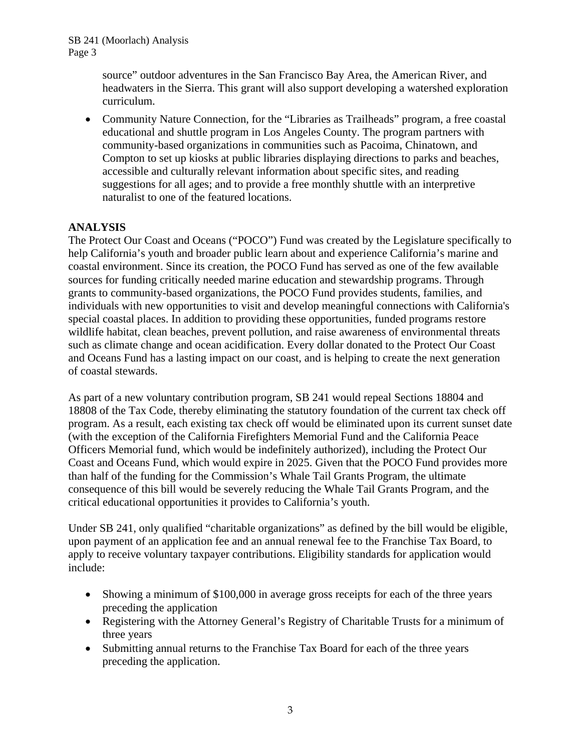source" outdoor adventures in the San Francisco Bay Area, the American River, and headwaters in the Sierra. This grant will also support developing a watershed exploration curriculum.

• Community Nature Connection, for the "Libraries as Trailheads" program, a free coastal educational and shuttle program in Los Angeles County. The program partners with community-based organizations in communities such as Pacoima, Chinatown, and Compton to set up kiosks at public libraries displaying directions to parks and beaches, accessible and culturally relevant information about specific sites, and reading suggestions for all ages; and to provide a free monthly shuttle with an interpretive naturalist to one of the featured locations.

# **ANALYSIS**

The Protect Our Coast and Oceans ("POCO") Fund was created by the Legislature specifically to help California's youth and broader public learn about and experience California's marine and coastal environment. Since its creation, the POCO Fund has served as one of the few available sources for funding critically needed marine education and stewardship programs. Through grants to community-based organizations, the POCO Fund provides students, families, and individuals with new opportunities to visit and develop meaningful connections with California's special coastal places. In addition to providing these opportunities, funded programs restore wildlife habitat, clean beaches, prevent pollution, and raise awareness of environmental threats such as climate change and ocean acidification. Every dollar donated to the Protect Our Coast and Oceans Fund has a lasting impact on our coast, and is helping to create the next generation of coastal stewards.

As part of a new voluntary contribution program, SB 241 would repeal Sections 18804 and 18808 of the Tax Code, thereby eliminating the statutory foundation of the current tax check off program. As a result, each existing tax check off would be eliminated upon its current sunset date (with the exception of the California Firefighters Memorial Fund and the California Peace Officers Memorial fund, which would be indefinitely authorized), including the Protect Our Coast and Oceans Fund, which would expire in 2025. Given that the POCO Fund provides more than half of the funding for the Commission's Whale Tail Grants Program, the ultimate consequence of this bill would be severely reducing the Whale Tail Grants Program, and the critical educational opportunities it provides to California's youth.

Under SB 241, only qualified "charitable organizations" as defined by the bill would be eligible, upon payment of an application fee and an annual renewal fee to the Franchise Tax Board, to apply to receive voluntary taxpayer contributions. Eligibility standards for application would include:

- Showing a minimum of \$100,000 in average gross receipts for each of the three years preceding the application
- Registering with the Attorney General's Registry of Charitable Trusts for a minimum of three years
- Submitting annual returns to the Franchise Tax Board for each of the three years preceding the application.